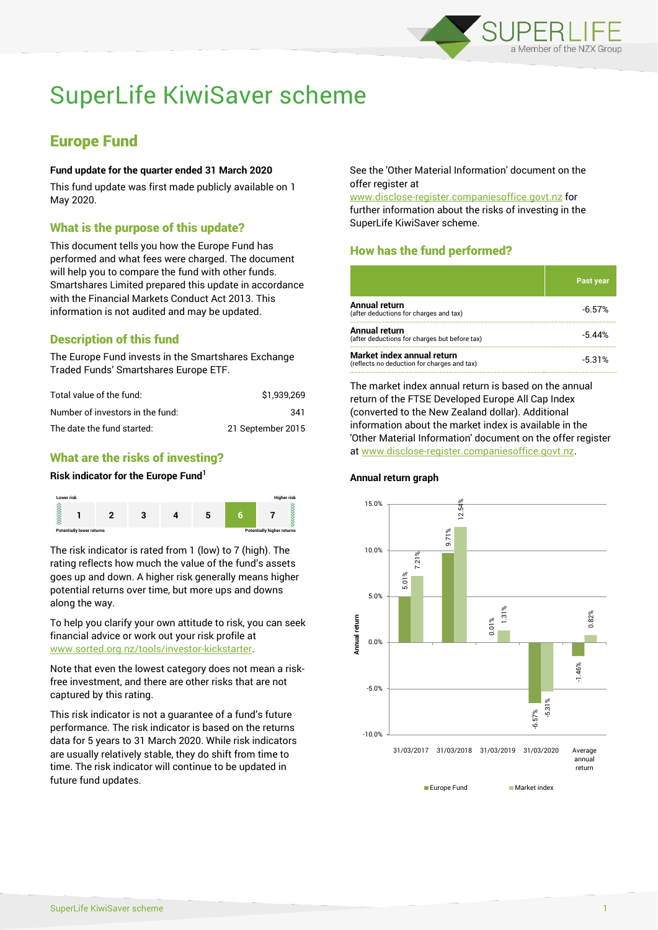

# SuperLife KiwiSaver scheme

## Europe Fund

#### **Fund update for the quarter ended 31 March 2020**

This fund update was first made publicly available on 1 May 2020.

### What is the purpose of this update?

This document tells you how the Europe Fund has performed and what fees were charged. The document will help you to compare the fund with other funds. Smartshares Limited prepared this update in accordance with the Financial Markets Conduct Act 2013. This information is not audited and may be updated.

## Description of this fund

The Europe Fund invests in the Smartshares Exchange Traded Funds' Smartshares Europe ETF.

| Total value of the fund:         | \$1.939.269       |
|----------------------------------|-------------------|
| Number of investors in the fund: | 341               |
| The date the fund started:       | 21 September 2015 |

## What are the risks of investing?

#### **Risk indicator for the Europe Fund<sup>1</sup>**



The risk indicator is rated from 1 (low) to 7 (high). The rating reflects how much the value of the fund's assets goes up and down. A higher risk generally means higher potential returns over time, but more ups and downs along the way.

To help you clarify your own attitude to risk, you can seek financial advice or work out your risk profile at [www.sorted.org.nz/tools/investor-kickstarter.](http://www.sorted.org.nz/tools/investor-kickstarter)

Note that even the lowest category does not mean a riskfree investment, and there are other risks that are not captured by this rating.

This risk indicator is not a guarantee of a fund's future performance. The risk indicator is based on the returns data for 5 years to 31 March 2020. While risk indicators are usually relatively stable, they do shift from time to time. The risk indicator will continue to be updated in future fund updates.

See the 'Other Material Information' document on the offer register at

www.disclose-register.companiesoffice.govt.nz for further information about the risks of investing in the SuperLife KiwiSaver scheme.

## How has the fund performed?

|                                                                           | <b>Past year</b> |
|---------------------------------------------------------------------------|------------------|
| <b>Annual return</b><br>(after deductions for charges and tax)            | $-6.57%$         |
| <b>Annual return</b><br>(after deductions for charges but before tax)     | -5.44%           |
| Market index annual return<br>(reflects no deduction for charges and tax) | $-5.31%$         |

The market index annual return is based on the annual return of the FTSE Developed Europe All Cap Index (converted to the New Zealand dollar). Additional information about the market index is available in the 'Other Material Information' document on the offer register at www.disclose-register.companiesoffice.govt.nz.



#### **Annual return graph**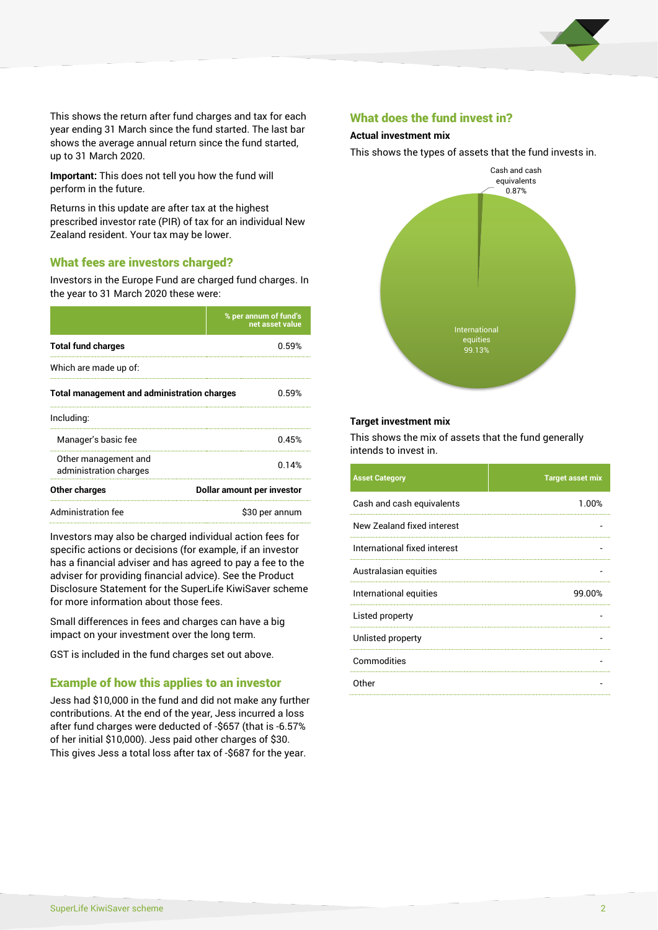

This shows the return after fund charges and tax for each year ending 31 March since the fund started. The last bar shows the average annual return since the fund started, up to 31 March 2020.

**Important:** This does not tell you how the fund will perform in the future.

Returns in this update are after tax at the highest prescribed investor rate (PIR) of tax for an individual New Zealand resident. Your tax may be lower.

#### What fees are investors charged?

Investors in the Europe Fund are charged fund charges. In the year to 31 March 2020 these were:

|                                                    | % per annum of fund's<br>net asset value |  |
|----------------------------------------------------|------------------------------------------|--|
| <b>Total fund charges</b>                          | 0.59%                                    |  |
| Which are made up of:                              |                                          |  |
| <b>Total management and administration charges</b> | 0.59%                                    |  |
| Including:                                         |                                          |  |
| Manager's basic fee                                | 0.45%                                    |  |
| Other management and<br>administration charges     | 0.14%                                    |  |
| Other charges                                      | Dollar amount per investor               |  |
| Administration fee                                 | \$30 per annum                           |  |

Investors may also be charged individual action fees for specific actions or decisions (for example, if an investor has a financial adviser and has agreed to pay a fee to the adviser for providing financial advice). See the Product Disclosure Statement for the SuperLife KiwiSaver scheme for more information about those fees.

Small differences in fees and charges can have a big impact on your investment over the long term.

GST is included in the fund charges set out above.

#### Example of how this applies to an investor

Jess had \$10,000 in the fund and did not make any further contributions. At the end of the year, Jess incurred a loss after fund charges were deducted of -\$657 (that is -6.57% of her initial \$10,000). Jess paid other charges of \$30. This gives Jess a total loss after tax of -\$687 for the year.

#### What does the fund invest in?

#### **Actual investment mix**

This shows the types of assets that the fund invests in.



#### **Target investment mix**

This shows the mix of assets that the fund generally intends to invest in.

| <b>Asset Category</b>        | <b>Target asset mix</b> |
|------------------------------|-------------------------|
| Cash and cash equivalents    | 1.00%                   |
| New Zealand fixed interest   |                         |
| International fixed interest |                         |
| Australasian equities        |                         |
| International equities       | 99.00%                  |
| Listed property              |                         |
| Unlisted property            |                         |
| Commodities                  |                         |
| Other                        |                         |